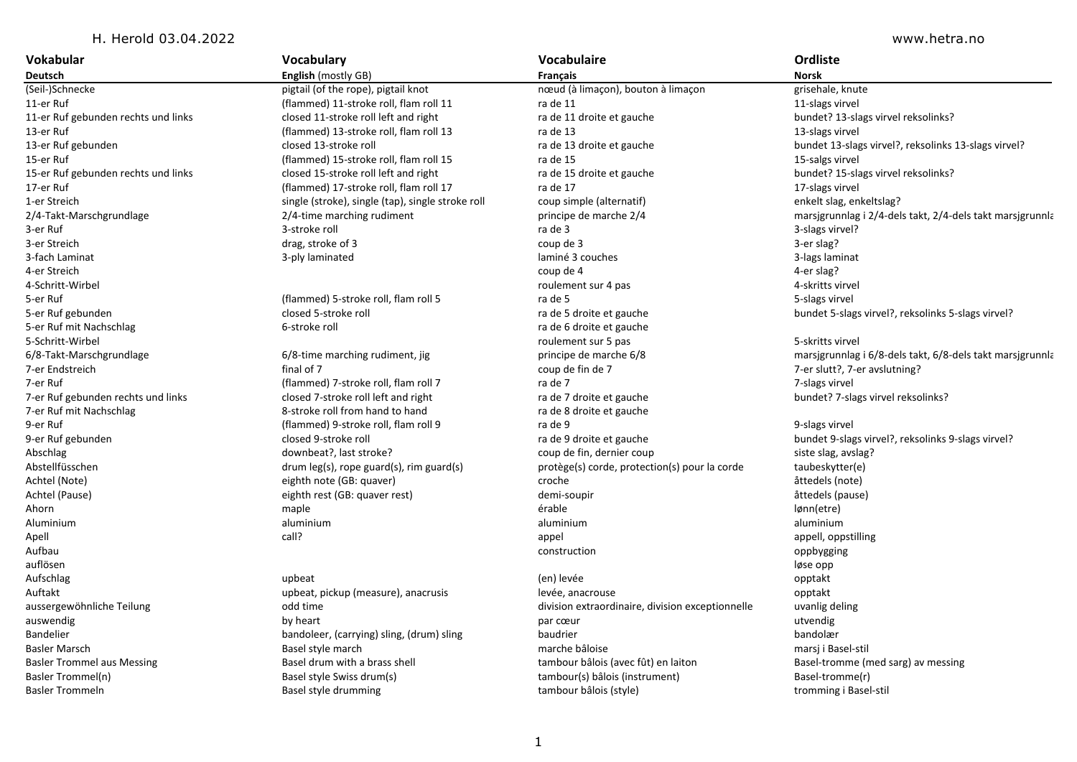## H. Herold 03.04.2022 www.hetra.no

| Vokabular                           | Vocabulary                                        | Vocabulaire                                      | Ordliste                                                  |
|-------------------------------------|---------------------------------------------------|--------------------------------------------------|-----------------------------------------------------------|
| Deutsch                             | <b>English</b> (mostly GB)                        | <b>Français</b>                                  | <b>Norsk</b>                                              |
| (Seil-)Schnecke                     | pigtail (of the rope), pigtail knot               | nœud (à limaçon), bouton à limaçon               | grisehale, knute                                          |
| 11-er Ruf                           | (flammed) 11-stroke roll, flam roll 11            | ra de 11                                         | 11-slags virvel                                           |
| 11-er Ruf gebunden rechts und links | closed 11-stroke roll left and right              | ra de 11 droite et gauche                        | bundet? 13-slags virvel reksolinks?                       |
| 13-er Ruf                           | (flammed) 13-stroke roll, flam roll 13            | ra de 13                                         | 13-slags virvel                                           |
| 13-er Ruf gebunden                  | closed 13-stroke roll                             | ra de 13 droite et gauche                        | bundet 13-slags virvel?, reksolinks 13-slags virvel?      |
| 15-er Ruf                           | (flammed) 15-stroke roll, flam roll 15            | ra de 15                                         | 15-salgs virvel                                           |
| 15-er Ruf gebunden rechts und links | closed 15-stroke roll left and right              | ra de 15 droite et gauche                        | bundet? 15-slags virvel reksolinks?                       |
| 17-er Ruf                           | (flammed) 17-stroke roll, flam roll 17            | ra de 17                                         | 17-slags virvel                                           |
| 1-er Streich                        | single (stroke), single (tap), single stroke roll | coup simple (alternatif)                         | enkelt slag, enkeltslag?                                  |
| 2/4-Takt-Marschgrundlage            | 2/4-time marching rudiment                        | principe de marche 2/4                           | marsjgrunnlag i 2/4-dels takt, 2/4-dels takt marsjgrunnla |
| 3-er Ruf                            | 3-stroke roll                                     | ra de 3                                          | 3-slags virvel?                                           |
| 3-er Streich                        | drag, stroke of 3                                 | coup de 3                                        | 3-er slag?                                                |
| 3-fach Laminat                      | 3-ply laminated                                   | laminé 3 couches                                 | 3-lags laminat                                            |
| 4-er Streich                        |                                                   | coup de 4                                        | 4-er slag?                                                |
| 4-Schritt-Wirbel                    |                                                   | roulement sur 4 pas                              | 4-skritts virvel                                          |
| 5-er Ruf                            | (flammed) 5-stroke roll, flam roll 5              | ra de 5                                          | 5-slags virvel                                            |
| 5-er Ruf gebunden                   | closed 5-stroke roll                              | ra de 5 droite et gauche                         | bundet 5-slags virvel?, reksolinks 5-slags virvel?        |
| 5-er Ruf mit Nachschlag             | 6-stroke roll                                     | ra de 6 droite et gauche                         |                                                           |
| 5-Schritt-Wirbel                    |                                                   | roulement sur 5 pas                              | 5-skritts virvel                                          |
| 6/8-Takt-Marschgrundlage            | 6/8-time marching rudiment, jig                   | principe de marche 6/8                           | marsigrunnlag i 6/8-dels takt, 6/8-dels takt marsigrunnla |
| 7-er Endstreich                     | final of 7                                        | coup de fin de 7                                 | 7-er slutt?, 7-er avslutning?                             |
| 7-er Ruf                            | (flammed) 7-stroke roll, flam roll 7              | ra de 7                                          | 7-slags virvel                                            |
| 7-er Ruf gebunden rechts und links  | closed 7-stroke roll left and right               | ra de 7 droite et gauche                         | bundet? 7-slags virvel reksolinks?                        |
| 7-er Ruf mit Nachschlag             | 8-stroke roll from hand to hand                   | ra de 8 droite et gauche                         |                                                           |
| 9-er Ruf                            | (flammed) 9-stroke roll, flam roll 9              | ra de 9                                          | 9-slags virvel                                            |
| 9-er Ruf gebunden                   | closed 9-stroke roll                              | ra de 9 droite et gauche                         | bundet 9-slags virvel?, reksolinks 9-slags virvel?        |
| Abschlag                            | downbeat?, last stroke?                           | coup de fin, dernier coup                        | siste slag, avslag?                                       |
| Abstellfüsschen                     | drum leg(s), rope guard(s), rim guard(s)          | protège(s) corde, protection(s) pour la corde    | taubeskytter(e)                                           |
| Achtel (Note)                       | eighth note (GB: quaver)                          | croche                                           | åttedels (note)                                           |
| Achtel (Pause)                      | eighth rest (GB: quaver rest)                     | demi-soupir                                      | åttedels (pause)                                          |
| Ahorn                               | maple                                             | érable                                           | lønn(etre)                                                |
| Aluminium                           | aluminium                                         | aluminium                                        | aluminium                                                 |
| Apell                               | call?                                             | appel                                            | appell, oppstilling                                       |
| Aufbau                              |                                                   | construction                                     | oppbygging                                                |
| auflösen                            |                                                   |                                                  | løse opp                                                  |
| Aufschlag                           | upbeat                                            | (en) levée                                       | opptakt                                                   |
| Auftakt                             | upbeat, pickup (measure), anacrusis               | levée, anacrouse                                 | opptakt                                                   |
| aussergewöhnliche Teilung           | odd time                                          | division extraordinaire, division exceptionnelle | uvanlig deling                                            |
| auswendig                           | by heart                                          | par cœur                                         | utvendig                                                  |
| Bandelier                           | bandoleer, (carrying) sling, (drum) sling         | baudrier                                         | bandolær                                                  |
| <b>Basler Marsch</b>                | Basel style march                                 | marche bâloise                                   | marsj i Basel-stil                                        |
| <b>Basler Trommel aus Messing</b>   | Basel drum with a brass shell                     | tambour bâlois (avec fût) en laiton              | Basel-tromme (med sarg) av messing                        |
| Basler Trommel(n)                   | Basel style Swiss drum(s)                         | tambour(s) bâlois (instrument)                   | Basel-tromme(r)                                           |
| <b>Basler Trommeln</b>              | Basel style drumming                              | tambour bâlois (style)                           | tromming i Basel-stil                                     |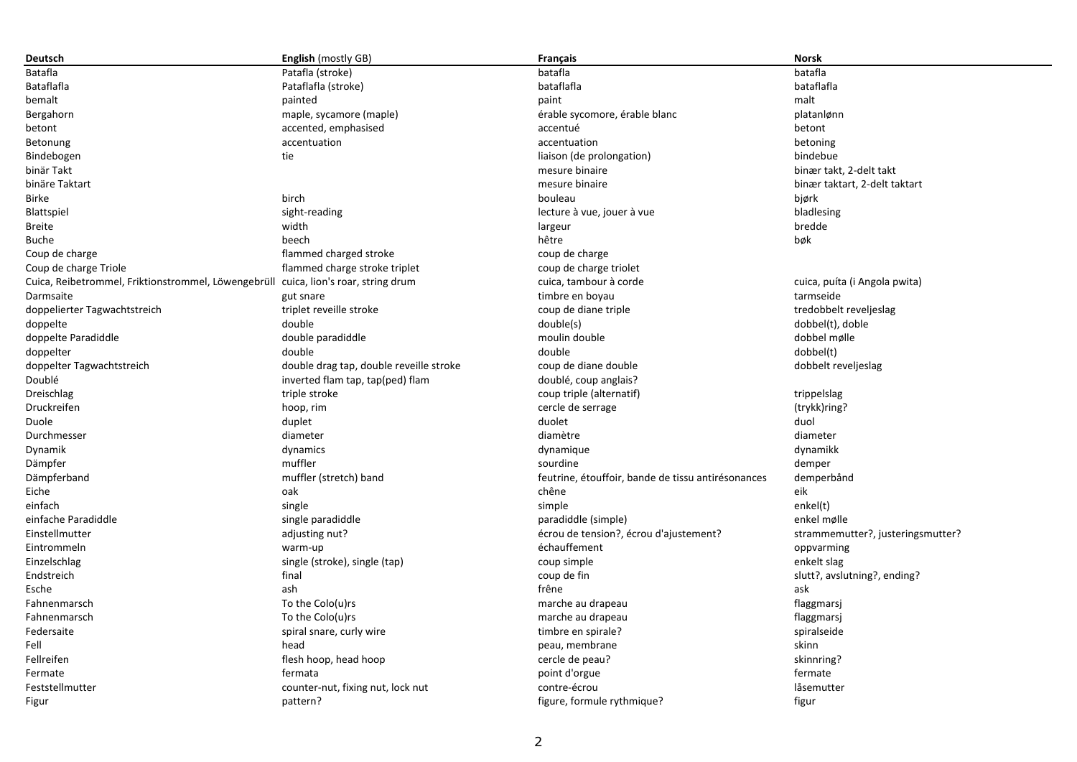| Deutsch                                                                             | <b>English</b> (mostly GB)              | Français                                           | <b>Norsk</b>                      |
|-------------------------------------------------------------------------------------|-----------------------------------------|----------------------------------------------------|-----------------------------------|
| Batafla                                                                             | Patafla (stroke)                        | batafla                                            | batafla                           |
| Bataflafla                                                                          | Pataflafla (stroke)                     | bataflafla                                         | bataflafla                        |
| bemalt                                                                              | painted                                 | paint                                              | malt                              |
| Bergahorn                                                                           | maple, sycamore (maple)                 | érable sycomore, érable blanc                      | platanlønn                        |
| betont                                                                              | accented, emphasised                    | accentué                                           | betont                            |
| Betonung                                                                            | accentuation                            | accentuation                                       | betoning                          |
| Bindebogen                                                                          | tie                                     | liaison (de prolongation)                          | bindebue                          |
| binär Takt                                                                          |                                         | mesure binaire                                     | binær takt, 2-delt takt           |
| binäre Taktart                                                                      |                                         | mesure binaire                                     | binær taktart, 2-delt taktart     |
| <b>Birke</b>                                                                        | birch                                   | bouleau                                            | bjørk                             |
| Blattspiel                                                                          | sight-reading                           | lecture à vue, jouer à vue                         | bladlesing                        |
| <b>Breite</b>                                                                       | width                                   | largeur                                            | bredde                            |
| <b>Buche</b>                                                                        | beech                                   | hêtre                                              | bøk                               |
| Coup de charge                                                                      | flammed charged stroke                  | coup de charge                                     |                                   |
| Coup de charge Triole                                                               | flammed charge stroke triplet           | coup de charge triolet                             |                                   |
| Cuica, Reibetrommel, Friktionstrommel, Löwengebrüll cuica, lion's roar, string drum |                                         | cuica, tambour à corde                             | cuica, puíta (i Angola pwita)     |
| Darmsaite                                                                           | gut snare                               | timbre en boyau                                    | tarmseide                         |
| doppelierter Tagwachtstreich                                                        | triplet reveille stroke                 | coup de diane triple                               | tredobbelt reveljeslag            |
| doppelte                                                                            | double                                  | double(s)                                          | dobbel(t), doble                  |
| doppelte Paradiddle                                                                 | double paradiddle                       | moulin double                                      | dobbel mølle                      |
| doppelter                                                                           | double                                  | double                                             | dobbel(t)                         |
| doppelter Tagwachtstreich                                                           | double drag tap, double reveille stroke | coup de diane double                               | dobbelt reveljeslag               |
| Doublé                                                                              | inverted flam tap, tap(ped) flam        | doublé, coup anglais?                              |                                   |
| Dreischlag                                                                          | triple stroke                           | coup triple (alternatif)                           | trippelslag                       |
| Druckreifen                                                                         | hoop, rim                               | cercle de serrage                                  | (trykk)ring?                      |
| Duole                                                                               | duplet                                  | duolet                                             | duol                              |
| Durchmesser                                                                         | diameter                                | diamètre                                           | diameter                          |
| Dynamik                                                                             | dynamics                                | dynamique                                          | dynamikk                          |
| Dämpfer                                                                             | muffler                                 | sourdine                                           | demper                            |
| Dämpferband                                                                         | muffler (stretch) band                  | feutrine, étouffoir, bande de tissu antirésonances | demperbånd                        |
| Eiche                                                                               | oak                                     | chêne                                              | eik                               |
| einfach                                                                             | single                                  | simple                                             | enkel(t)                          |
| einfache Paradiddle                                                                 | single paradiddle                       | paradiddle (simple)                                | enkel mølle                       |
| Einstellmutter                                                                      | adjusting nut?                          | écrou de tension?, écrou d'ajustement?             | strammemutter?, justeringsmutter? |
| Eintrommeln                                                                         | warm-up                                 | échauffement                                       | oppvarming                        |
| Einzelschlag                                                                        | single (stroke), single (tap)           | coup simple                                        | enkelt slag                       |
| Endstreich                                                                          | final                                   | coup de fin                                        | slutt?, avslutning?, ending?      |
| Esche                                                                               | ash                                     | frêne                                              | ask                               |
| Fahnenmarsch                                                                        | To the Colo(u)rs                        | marche au drapeau                                  | flaggmarsj                        |
| Fahnenmarsch                                                                        | To the Colo(u)rs                        | marche au drapeau                                  | flaggmarsj                        |
| Federsaite                                                                          | spiral snare, curly wire                | timbre en spirale?                                 | spiralseide                       |
| Fell                                                                                | head                                    | peau, membrane                                     | skinn                             |
| Fellreifen                                                                          | flesh hoop, head hoop                   | cercle de peau?                                    | skinnring?                        |
| Fermate                                                                             | fermata                                 | point d'orgue                                      | fermate                           |
| Feststellmutter                                                                     | counter-nut, fixing nut, lock nut       | contre-écrou                                       | låsemutter                        |
| Figur                                                                               | pattern?                                | figure, formule rythmique?                         | figur                             |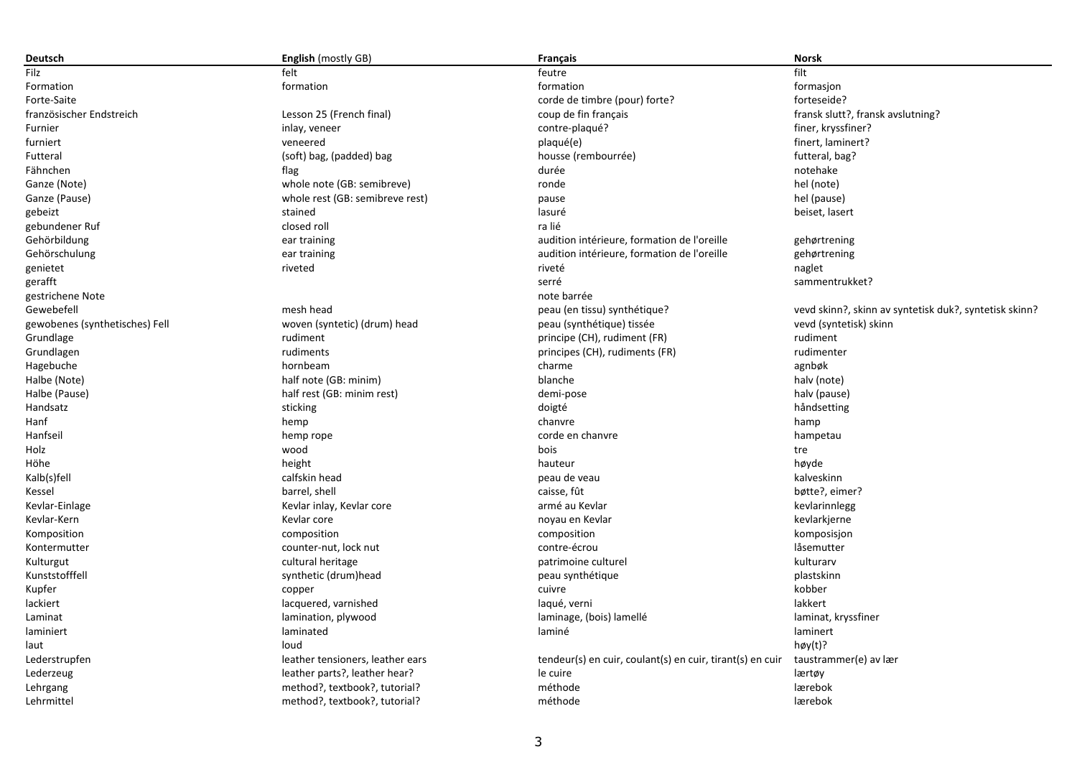| Deutsch                        | <b>English</b> (mostly GB)       | Français                                                  | <b>Norsk</b>                                           |
|--------------------------------|----------------------------------|-----------------------------------------------------------|--------------------------------------------------------|
| Filz                           | felt                             | feutre                                                    | filt                                                   |
| Formation                      | formation                        | formation                                                 | formasjon                                              |
| Forte-Saite                    |                                  | corde de timbre (pour) forte?                             | forteseide?                                            |
| französischer Endstreich       | Lesson 25 (French final)         | coup de fin français                                      | fransk slutt?, fransk avslutning?                      |
| Furnier                        | inlay, veneer                    | contre-plaqué?                                            | finer, kryssfiner?                                     |
| furniert                       | veneered                         | plaqué(e)                                                 | finert, laminert?                                      |
| Futteral                       | (soft) bag, (padded) bag         | housse (rembourrée)                                       | futteral, bag?                                         |
| Fähnchen                       | flag                             | durée                                                     | notehake                                               |
| Ganze (Note)                   | whole note (GB: semibreve)       | ronde                                                     | hel (note)                                             |
| Ganze (Pause)                  | whole rest (GB: semibreve rest)  | pause                                                     | hel (pause)                                            |
| gebeizt                        | stained                          | lasuré                                                    | beiset, lasert                                         |
| gebundener Ruf                 | closed roll                      | ra lié                                                    |                                                        |
| Gehörbildung                   | ear training                     | audition intérieure, formation de l'oreille               | gehørtrening                                           |
| Gehörschulung                  | ear training                     | audition intérieure, formation de l'oreille               | gehørtrening                                           |
| genietet                       | riveted                          | riveté                                                    | naglet                                                 |
| gerafft                        |                                  | serré                                                     | sammentrukket?                                         |
| gestrichene Note               |                                  | note barrée                                               |                                                        |
| Gewebefell                     | mesh head                        | peau (en tissu) synthétique?                              | vevd skinn?, skinn av syntetisk duk?, syntetisk skinn? |
| gewobenes (synthetisches) Fell | woven (syntetic) (drum) head     | peau (synthétique) tissée                                 | vevd (syntetisk) skinn                                 |
| Grundlage                      | rudiment                         | principe (CH), rudiment (FR)                              | rudiment                                               |
| Grundlagen                     | rudiments                        | principes (CH), rudiments (FR)                            | rudimenter                                             |
| Hagebuche                      | hornbeam                         | charme                                                    | agnbøk                                                 |
| Halbe (Note)                   | half note (GB: minim)            | blanche                                                   | halv (note)                                            |
| Halbe (Pause)                  | half rest (GB: minim rest)       | demi-pose                                                 | halv (pause)                                           |
| Handsatz                       | sticking                         | doigté                                                    | håndsetting                                            |
| Hanf                           | hemp                             | chanvre                                                   | hamp                                                   |
| Hanfseil                       | hemp rope                        | corde en chanvre                                          | hampetau                                               |
| Holz                           | wood                             | bois                                                      |                                                        |
| Höhe                           |                                  | hauteur                                                   | tre<br>høyde                                           |
|                                | height                           |                                                           |                                                        |
| Kalb(s)fell                    | calfskin head                    | peau de veau                                              | kalveskinn                                             |
| Kessel                         | barrel, shell                    | caisse, fût                                               | bøtte?, eimer?                                         |
| Kevlar-Einlage                 | Kevlar inlay, Kevlar core        | armé au Kevlar                                            | kevlarinnlegg                                          |
| Kevlar-Kern                    | Kevlar core                      | noyau en Kevlar                                           | kevlarkjerne                                           |
| Komposition                    | composition                      | composition                                               | komposisjon                                            |
| Kontermutter                   | counter-nut, lock nut            | contre-écrou                                              | låsemutter                                             |
| Kulturgut                      | cultural heritage                | patrimoine culturel                                       | kulturarv                                              |
| Kunststofffell                 | synthetic (drum)head             | peau synthétique                                          | plastskinn                                             |
| Kupfer                         | copper                           | cuivre                                                    | kobber                                                 |
| lackiert                       | lacquered, varnished             | laqué, verni                                              | lakkert                                                |
| Laminat                        | lamination, plywood              | laminage, (bois) lamellé                                  | laminat, kryssfiner                                    |
| laminiert                      | laminated                        | laminé                                                    | laminert                                               |
| laut                           | loud                             |                                                           | $h\phi y(t)$ ?                                         |
| Lederstrupfen                  | leather tensioners, leather ears | tendeur(s) en cuir, coulant(s) en cuir, tirant(s) en cuir | taustrammer(e) av lær                                  |
| Lederzeug                      | leather parts?, leather hear?    | le cuire                                                  | lærtøy                                                 |
| Lehrgang                       | method?, textbook?, tutorial?    | méthode                                                   | lærebok                                                |
| Lehrmittel                     | method?, textbook?, tutorial?    | méthode                                                   | lærebok                                                |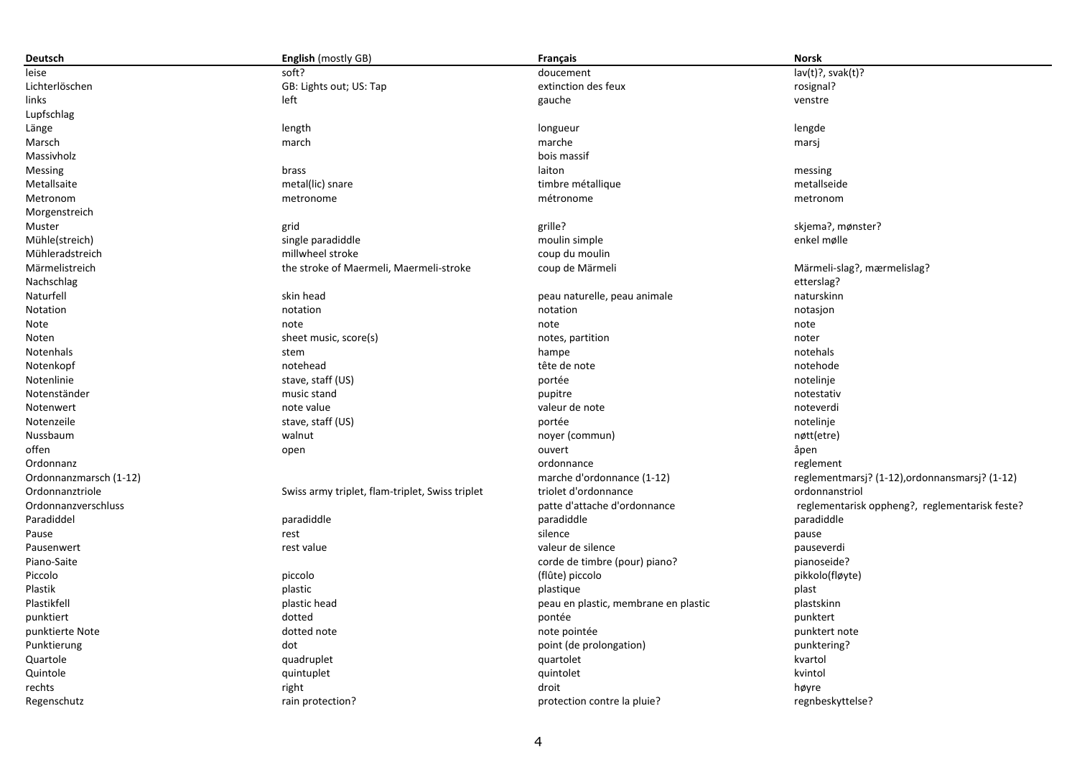| Deutsch                | <b>English</b> (mostly GB)                      | <b>Français</b>                      | <b>Norsk</b>                                   |
|------------------------|-------------------------------------------------|--------------------------------------|------------------------------------------------|
| leise                  | soft?                                           | doucement                            | $lav(t)?$ , svak $(t)?$                        |
| Lichterlöschen         | GB: Lights out; US: Tap                         | extinction des feux                  | rosignal?                                      |
| links                  | left                                            | gauche                               | venstre                                        |
| Lupfschlag             |                                                 |                                      |                                                |
| Länge                  | length                                          | longueur                             | lengde                                         |
| Marsch                 | march                                           | marche                               | marsj                                          |
| Massivholz             |                                                 | bois massif                          |                                                |
| Messing                | brass                                           | laiton                               | messing                                        |
| Metallsaite            | metal(lic) snare                                | timbre métallique                    | metallseide                                    |
| Metronom               | metronome                                       | métronome                            | metronom                                       |
| Morgenstreich          |                                                 |                                      |                                                |
| Muster                 | grid                                            | grille?                              | skjema?, mønster?                              |
| Mühle(streich)         | single paradiddle                               | moulin simple                        | enkel mølle                                    |
| Mühleradstreich        | millwheel stroke                                | coup du moulin                       |                                                |
| Märmelistreich         | the stroke of Maermeli, Maermeli-stroke         | coup de Märmeli                      | Märmeli-slag?, mærmelislag?                    |
| Nachschlag             |                                                 |                                      | etterslag?                                     |
| Naturfell              | skin head                                       | peau naturelle, peau animale         | naturskinn                                     |
| Notation               | notation                                        | notation                             | notasjon                                       |
| Note                   | note                                            | note                                 | note                                           |
| Noten                  | sheet music, score(s)                           | notes, partition                     | noter                                          |
| Notenhals              | stem                                            | hampe                                | notehals                                       |
| Notenkopf              | notehead                                        | tête de note                         | notehode                                       |
| Notenlinie             | stave, staff (US)                               | portée                               | notelinje                                      |
| Notenständer           | music stand                                     | pupitre                              | notestativ                                     |
| Notenwert              | note value                                      | valeur de note                       | noteverdi                                      |
| Notenzeile             | stave, staff (US)                               | portée                               | notelinje                                      |
| Nussbaum               | walnut                                          | noyer (commun)                       | nøtt(etre)                                     |
| offen                  | open                                            | ouvert                               | åpen                                           |
| Ordonnanz              |                                                 | ordonnance                           | reglement                                      |
| Ordonnanzmarsch (1-12) |                                                 | marche d'ordonnance (1-12)           | reglementmarsj? (1-12), ordonnansmarsj? (1-12) |
| Ordonnanztriole        | Swiss army triplet, flam-triplet, Swiss triplet | triolet d'ordonnance                 | ordonnanstriol                                 |
| Ordonnanzverschluss    |                                                 | patte d'attache d'ordonnance         | reglementarisk oppheng?, reglementarisk feste? |
| Paradiddel             | paradiddle                                      | paradiddle                           | paradiddle                                     |
| Pause                  | rest                                            | silence                              | pause                                          |
| Pausenwert             | rest value                                      | valeur de silence                    | pauseverdi                                     |
| Piano-Saite            |                                                 | corde de timbre (pour) piano?        | pianoseide?                                    |
| Piccolo                | piccolo                                         | (flûte) piccolo                      | pikkolo(fløyte)                                |
| Plastik                | plastic                                         | plastique                            | plast                                          |
| Plastikfell            | plastic head                                    | peau en plastic, membrane en plastic | plastskinn                                     |
| punktiert              | dotted                                          | pontée                               | punktert                                       |
| punktierte Note        | dotted note                                     | note pointée                         | punktert note                                  |
| Punktierung            | dot                                             | point (de prolongation)              | punktering?                                    |
| Quartole               | quadruplet                                      | quartolet                            | kvartol                                        |
| Quintole               | quintuplet                                      | quintolet                            | kvintol                                        |
| rechts                 | right                                           | droit                                | høyre                                          |
| Regenschutz            | rain protection?                                | protection contre la pluie?          | regnbeskyttelse?                               |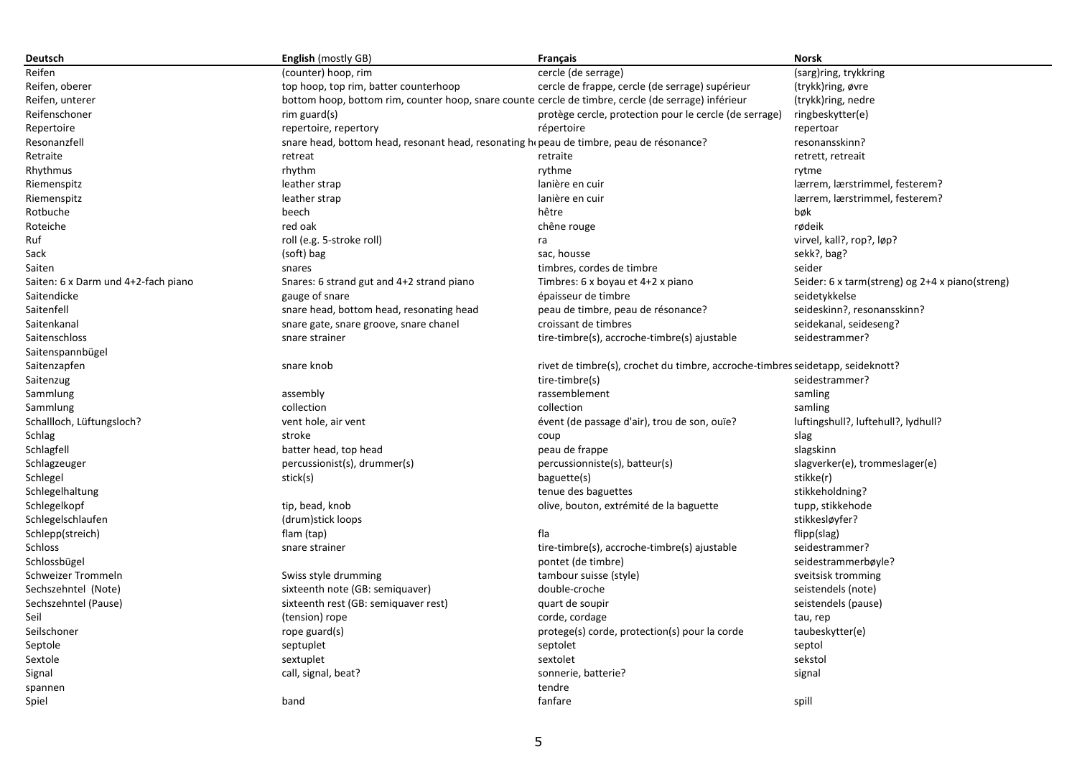| Deutsch                             | <b>English</b> (mostly GB)                                                              | Français                                                                                            | Norsk                                           |
|-------------------------------------|-----------------------------------------------------------------------------------------|-----------------------------------------------------------------------------------------------------|-------------------------------------------------|
| Reifen                              | (counter) hoop, rim                                                                     | cercle (de serrage)                                                                                 | (sarg)ring, trykkring                           |
| Reifen, oberer                      | top hoop, top rim, batter counterhoop                                                   | cercle de frappe, cercle (de serrage) supérieur                                                     | (trykk)ring, øvre                               |
| Reifen, unterer                     |                                                                                         | bottom hoop, bottom rim, counter hoop, snare counte cercle de timbre, cercle (de serrage) inférieur | (trykk)ring, nedre                              |
| Reifenschoner                       | $rim$ guard $(s)$                                                                       | protège cercle, protection pour le cercle (de serrage)                                              | ringbeskytter(e)                                |
| Repertoire                          | repertoire, repertory                                                                   | répertoire                                                                                          | repertoar                                       |
| Resonanzfell                        | snare head, bottom head, resonant head, resonating hepeau de timbre, peau de résonance? |                                                                                                     | resonansskinn?                                  |
| Retraite                            | retreat                                                                                 | retraite                                                                                            | retrett, retreait                               |
| Rhythmus                            | rhythm                                                                                  | rythme                                                                                              | rytme                                           |
| Riemenspitz                         | leather strap                                                                           | lanière en cuir                                                                                     | lærrem, lærstrimmel, festerem?                  |
| Riemenspitz                         | leather strap                                                                           | lanière en cuir                                                                                     | lærrem, lærstrimmel, festerem?                  |
| Rotbuche                            | beech                                                                                   | hêtre                                                                                               | bøk                                             |
| Roteiche                            | red oak                                                                                 | chêne rouge                                                                                         | rødeik                                          |
| Ruf                                 | roll (e.g. 5-stroke roll)                                                               | ra                                                                                                  | virvel, kall?, rop?, løp?                       |
| Sack                                | (soft) bag                                                                              | sac, housse                                                                                         | sekk?, bag?                                     |
| Saiten                              | snares                                                                                  | timbres, cordes de timbre                                                                           | seider                                          |
| Saiten: 6 x Darm und 4+2-fach piano | Snares: 6 strand gut and 4+2 strand piano                                               | Timbres: 6 x boyau et 4+2 x piano                                                                   | Seider: 6 x tarm(streng) og 2+4 x piano(streng) |
| Saitendicke                         | gauge of snare                                                                          | épaisseur de timbre                                                                                 | seidetykkelse                                   |
| Saitenfell                          | snare head, bottom head, resonating head                                                | peau de timbre, peau de résonance?                                                                  | seideskinn?, resonansskinn?                     |
| Saitenkanal                         | snare gate, snare groove, snare chanel                                                  | croissant de timbres                                                                                | seidekanal, seideseng?                          |
| Saitenschloss                       | snare strainer                                                                          | tire-timbre(s), accroche-timbre(s) ajustable                                                        | seidestrammer?                                  |
| Saitenspannbügel                    |                                                                                         |                                                                                                     |                                                 |
| Saitenzapfen                        | snare knob                                                                              | rivet de timbre(s), crochet du timbre, accroche-timbres seidetapp, seideknott?                      |                                                 |
| Saitenzug                           |                                                                                         | tire-timbre(s)                                                                                      | seidestrammer?                                  |
| Sammlung                            | assembly                                                                                | rassemblement                                                                                       | samling                                         |
| Sammlung                            | collection                                                                              | collection                                                                                          | samling                                         |
| Schallloch, Lüftungsloch?           | vent hole, air vent                                                                     | évent (de passage d'air), trou de son, ouïe?                                                        | luftingshull?, luftehull?, lydhull?             |
| Schlag                              | stroke                                                                                  | coup                                                                                                | slag                                            |
| Schlagfell                          | batter head, top head                                                                   | peau de frappe                                                                                      | slagskinn                                       |
| Schlagzeuger                        | percussionist(s), drummer(s)                                                            | percussionniste(s), batteur(s)                                                                      | slagverker(e), trommeslager(e)                  |
| Schlegel                            | stick(s)                                                                                | baguette(s)                                                                                         | stikke(r)                                       |
| Schlegelhaltung                     |                                                                                         | tenue des baguettes                                                                                 | stikkeholdning?                                 |
| Schlegelkopf                        | tip, bead, knob                                                                         | olive, bouton, extrémité de la baguette                                                             | tupp, stikkehode                                |
| Schlegelschlaufen                   | (drum)stick loops                                                                       |                                                                                                     | stikkesløyfer?                                  |
| Schlepp(streich)                    | flam (tap)                                                                              | fla                                                                                                 | flipp(slag)                                     |
| Schloss                             | snare strainer                                                                          | tire-timbre(s), accroche-timbre(s) ajustable                                                        | seidestrammer?                                  |
| Schlossbügel                        |                                                                                         | pontet (de timbre)                                                                                  | seidestrammerbøyle?                             |
| Schweizer Trommeln                  | Swiss style drumming                                                                    | tambour suisse (style)                                                                              | sveitsisk tromming                              |
| Sechszehntel (Note)                 | sixteenth note (GB: semiquaver)                                                         | double-croche                                                                                       | seistendels (note)                              |
| Sechszehntel (Pause)                | sixteenth rest (GB: semiquaver rest)                                                    | quart de soupir                                                                                     | seistendels (pause)                             |
| Seil                                | (tension) rope                                                                          | corde, cordage                                                                                      | tau, rep                                        |
| Seilschoner                         | rope guard(s)                                                                           | protege(s) corde, protection(s) pour la corde                                                       | taubeskytter(e)                                 |
| Septole                             | septuplet                                                                               | septolet                                                                                            | septol                                          |
| Sextole                             | sextuplet                                                                               | sextolet                                                                                            | sekstol                                         |
| Signal                              | call, signal, beat?                                                                     | sonnerie, batterie?                                                                                 | signal                                          |
| spannen                             |                                                                                         | tendre                                                                                              |                                                 |
| Spiel                               | band                                                                                    | fanfare                                                                                             | spill                                           |
|                                     |                                                                                         |                                                                                                     |                                                 |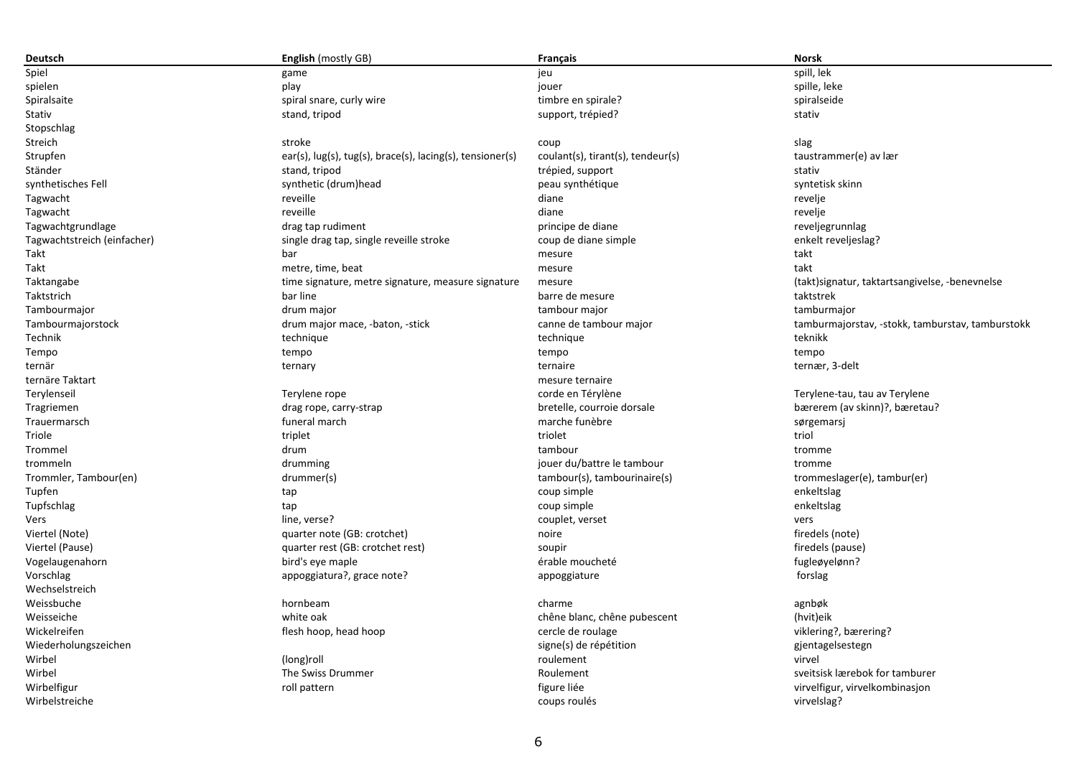| Deutsch                     | <b>English</b> (mostly GB)                                | <b>Francais</b>                   | <b>Norsk</b>                                     |
|-----------------------------|-----------------------------------------------------------|-----------------------------------|--------------------------------------------------|
| Spiel                       | game                                                      | ieu                               | spill, lek                                       |
| spielen                     | play                                                      | jouer                             | spille, leke                                     |
| Spiralsaite                 | spiral snare, curly wire                                  | timbre en spirale?                | spiralseide                                      |
| Stativ                      | stand, tripod                                             | support, trépied?                 | stativ                                           |
| Stopschlag                  |                                                           |                                   |                                                  |
| Streich                     | stroke                                                    | coup                              | slag                                             |
| Strupfen                    | ear(s), lug(s), tug(s), brace(s), lacing(s), tensioner(s) | coulant(s), tirant(s), tendeur(s) | taustrammer(e) av lær                            |
| Ständer                     | stand, tripod                                             | trépied, support                  | stativ                                           |
| synthetisches Fell          | synthetic (drum)head                                      | peau synthétique                  | syntetisk skinn                                  |
| Tagwacht                    | reveille                                                  | diane                             | revelje                                          |
| Tagwacht                    | reveille                                                  | diane                             | revelje                                          |
| Tagwachtgrundlage           | drag tap rudiment                                         | principe de diane                 | reveljegrunnlag                                  |
| Tagwachtstreich (einfacher) | single drag tap, single reveille stroke                   | coup de diane simple              | enkelt reveljeslag?                              |
| Takt                        | bar                                                       | mesure                            | takt                                             |
| Takt                        | metre, time, beat                                         | mesure                            | takt                                             |
| Taktangabe                  | time signature, metre signature, measure signature        | mesure                            | (takt) signatur, taktart sangivelse, -benevnelse |
| Taktstrich                  | bar line                                                  | barre de mesure                   | taktstrek                                        |
| Tambourmajor                | drum major                                                | tambour major                     | tamburmajor                                      |
| Tambourmajorstock           | drum major mace, -baton, -stick                           | canne de tambour major            | tamburmajorstav, -stokk, tamburstav, tamburstokk |
| Technik                     |                                                           |                                   | teknikk                                          |
|                             | technique                                                 | technique                         |                                                  |
| Tempo                       | tempo                                                     | tempo                             | tempo                                            |
| ternär                      | ternary                                                   | ternaire                          | ternær, 3-delt                                   |
| ternäre Taktart             |                                                           | mesure ternaire                   |                                                  |
| Terylenseil                 | Terylene rope                                             | corde en Térylène                 | Terylene-tau, tau av Terylene                    |
| Tragriemen                  | drag rope, carry-strap                                    | bretelle, courroie dorsale        | bærerem (av skinn)?, bæretau?                    |
| Trauermarsch                | funeral march                                             | marche funèbre                    | sørgemarsj                                       |
| Triole                      | triplet                                                   | triolet                           | triol                                            |
| Trommel                     | drum                                                      | tambour                           | tromme                                           |
| trommeln                    | drumming                                                  | jouer du/battre le tambour        | tromme                                           |
| Trommler, Tambour(en)       | drummer(s)                                                | tambour(s), tambourinaire(s)      | trommeslager(e), tambur(er)                      |
| Tupfen                      | tap                                                       | coup simple                       | enkeltslag                                       |
| Tupfschlag                  | tap                                                       | coup simple                       | enkeltslag                                       |
| Vers                        | line, verse?                                              | couplet, verset                   | vers                                             |
| Viertel (Note)              | quarter note (GB: crotchet)                               | noire                             | firedels (note)                                  |
| Viertel (Pause)             | quarter rest (GB: crotchet rest)                          | soupir                            | firedels (pause)                                 |
| Vogelaugenahorn             | bird's eye maple                                          | érable moucheté                   | fugleøyelønn?                                    |
| Vorschlag                   | appoggiatura?, grace note?                                | appoggiature                      | forslag                                          |
| Wechselstreich              |                                                           |                                   |                                                  |
| Weissbuche                  | hornbeam                                                  | charme                            | agnbøk                                           |
| Weisseiche                  | white oak                                                 | chêne blanc, chêne pubescent      | (hvit)eik                                        |
| Wickelreifen                | flesh hoop, head hoop                                     | cercle de roulage                 | viklering?, bærering?                            |
| Wiederholungszeichen        |                                                           | signe(s) de répétition            | gjentagelsestegn                                 |
| Wirbel                      | (long)roll                                                | roulement                         | virvel                                           |
| Wirbel                      | The Swiss Drummer                                         | Roulement                         | sveitsisk lærebok for tamburer                   |
| Wirbelfigur                 | roll pattern                                              | figure liée                       | virvelfigur, virvelkombinasjon                   |
| Wirbelstreiche              |                                                           | coups roulés                      | virvelslag?                                      |